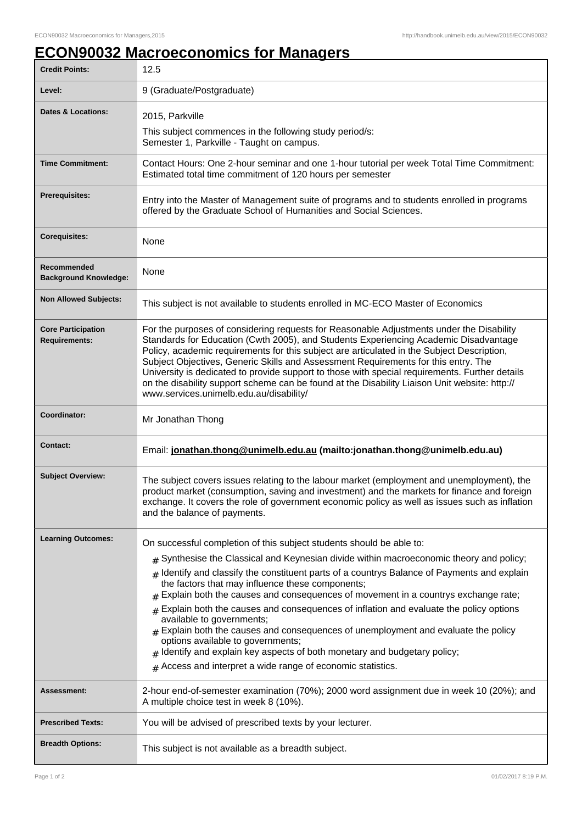## **ECON90032 Macroeconomics for Managers**

| <b>Credit Points:</b>                             | 12.5                                                                                                                                                                                                                                                                                                                                                                                                                                                                                                                                                                                                               |
|---------------------------------------------------|--------------------------------------------------------------------------------------------------------------------------------------------------------------------------------------------------------------------------------------------------------------------------------------------------------------------------------------------------------------------------------------------------------------------------------------------------------------------------------------------------------------------------------------------------------------------------------------------------------------------|
| Level:                                            | 9 (Graduate/Postgraduate)                                                                                                                                                                                                                                                                                                                                                                                                                                                                                                                                                                                          |
| Dates & Locations:                                | 2015, Parkville                                                                                                                                                                                                                                                                                                                                                                                                                                                                                                                                                                                                    |
|                                                   | This subject commences in the following study period/s:<br>Semester 1, Parkville - Taught on campus.                                                                                                                                                                                                                                                                                                                                                                                                                                                                                                               |
| <b>Time Commitment:</b>                           | Contact Hours: One 2-hour seminar and one 1-hour tutorial per week Total Time Commitment:<br>Estimated total time commitment of 120 hours per semester                                                                                                                                                                                                                                                                                                                                                                                                                                                             |
| <b>Prerequisites:</b>                             | Entry into the Master of Management suite of programs and to students enrolled in programs<br>offered by the Graduate School of Humanities and Social Sciences.                                                                                                                                                                                                                                                                                                                                                                                                                                                    |
| <b>Corequisites:</b>                              | None                                                                                                                                                                                                                                                                                                                                                                                                                                                                                                                                                                                                               |
| Recommended<br><b>Background Knowledge:</b>       | None                                                                                                                                                                                                                                                                                                                                                                                                                                                                                                                                                                                                               |
| <b>Non Allowed Subjects:</b>                      | This subject is not available to students enrolled in MC-ECO Master of Economics                                                                                                                                                                                                                                                                                                                                                                                                                                                                                                                                   |
| <b>Core Participation</b><br><b>Requirements:</b> | For the purposes of considering requests for Reasonable Adjustments under the Disability<br>Standards for Education (Cwth 2005), and Students Experiencing Academic Disadvantage<br>Policy, academic requirements for this subject are articulated in the Subject Description,<br>Subject Objectives, Generic Skills and Assessment Requirements for this entry. The<br>University is dedicated to provide support to those with special requirements. Further details<br>on the disability support scheme can be found at the Disability Liaison Unit website: http://<br>www.services.unimelb.edu.au/disability/ |
| Coordinator:                                      | Mr Jonathan Thong                                                                                                                                                                                                                                                                                                                                                                                                                                                                                                                                                                                                  |
| <b>Contact:</b>                                   | Email: jonathan.thong@unimelb.edu.au (mailto: jonathan.thong@unimelb.edu.au)                                                                                                                                                                                                                                                                                                                                                                                                                                                                                                                                       |
| <b>Subject Overview:</b>                          | The subject covers issues relating to the labour market (employment and unemployment), the<br>product market (consumption, saving and investment) and the markets for finance and foreign<br>exchange. It covers the role of government economic policy as well as issues such as inflation<br>and the balance of payments.                                                                                                                                                                                                                                                                                        |
| <b>Learning Outcomes:</b>                         | On successful completion of this subject students should be able to:                                                                                                                                                                                                                                                                                                                                                                                                                                                                                                                                               |
|                                                   | $#$ Synthesise the Classical and Keynesian divide within macroeconomic theory and policy;                                                                                                                                                                                                                                                                                                                                                                                                                                                                                                                          |
|                                                   | $_{\#}$ Identify and classify the constituent parts of a countrys Balance of Payments and explain<br>the factors that may influence these components;<br>Explain both the causes and consequences of movement in a countrys exchange rate;<br>#                                                                                                                                                                                                                                                                                                                                                                    |
|                                                   | Explain both the causes and consequences of inflation and evaluate the policy options<br>available to governments;<br>$#$ Explain both the causes and consequences of unemployment and evaluate the policy<br>options available to governments;<br>$#$ Identify and explain key aspects of both monetary and budgetary policy;<br>Access and interpret a wide range of economic statistics.<br>#                                                                                                                                                                                                                   |
| Assessment:                                       | 2-hour end-of-semester examination (70%); 2000 word assignment due in week 10 (20%); and<br>A multiple choice test in week 8 (10%).                                                                                                                                                                                                                                                                                                                                                                                                                                                                                |
| <b>Prescribed Texts:</b>                          | You will be advised of prescribed texts by your lecturer.                                                                                                                                                                                                                                                                                                                                                                                                                                                                                                                                                          |
| <b>Breadth Options:</b>                           | This subject is not available as a breadth subject.                                                                                                                                                                                                                                                                                                                                                                                                                                                                                                                                                                |